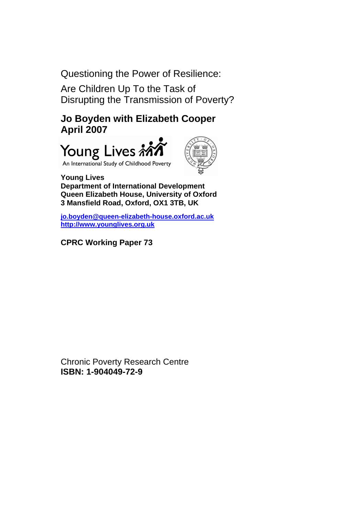Questioning the Power of Resilience:

Are Children Up To the Task of Disrupting the Transmission of Poverty?

**Jo Boyden with Elizabeth Cooper April 2007** 





An International Study of Childhood Poverty

**Young Lives Department of International Development Queen Elizabeth House, University of Oxford 3 Mansfield Road, Oxford, OX1 3TB, UK** 

**jo.boyden@queen-elizabeth-house.oxford.ac.uk http://www.younglives.org.uk**

**CPRC Working Paper 73** 

Chronic Poverty Research Centre **ISBN: 1-904049-72-9**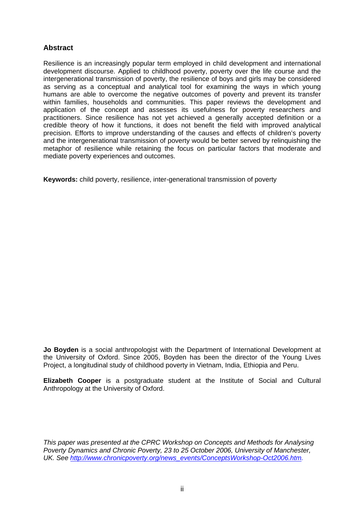# **Abstract**

Resilience is an increasingly popular term employed in child development and international development discourse. Applied to childhood poverty, poverty over the life course and the intergenerational transmission of poverty, the resilience of boys and girls may be considered as serving as a conceptual and analytical tool for examining the ways in which young humans are able to overcome the negative outcomes of poverty and prevent its transfer within families, households and communities. This paper reviews the development and application of the concept and assesses its usefulness for poverty researchers and practitioners. Since resilience has not yet achieved a generally accepted definition or a credible theory of how it functions, it does not benefit the field with improved analytical precision. Efforts to improve understanding of the causes and effects of children's poverty and the intergenerational transmission of poverty would be better served by relinquishing the metaphor of resilience while retaining the focus on particular factors that moderate and mediate poverty experiences and outcomes.

**Keywords:** child poverty, resilience, inter-generational transmission of poverty

**Jo Boyden** is a social anthropologist with the Department of International Development at the University of Oxford. Since 2005, Boyden has been the director of the Young Lives Project, a longitudinal study of childhood poverty in Vietnam, India, Ethiopia and Peru.

**Elizabeth Cooper** is a postgraduate student at the Institute of Social and Cultural Anthropology at the University of Oxford.

This paper was presented at the CPRC Workshop on Concepts and Methods for Analysing Poverty Dynamics and Chronic Poverty, 23 to 25 October 2006, University of Manchester, UK. See http://www.chronicpoverty.org/news\_events/ConceptsWorkshop-Oct2006.htm.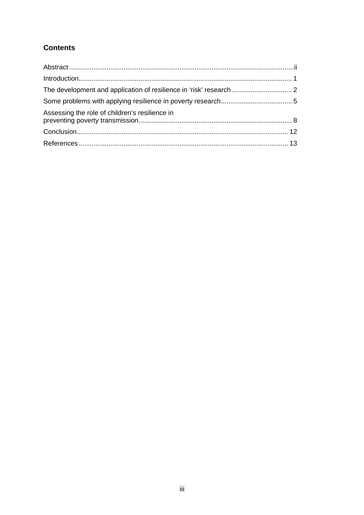# **Contents**

| Assessing the role of children's resilience in |  |
|------------------------------------------------|--|
|                                                |  |
|                                                |  |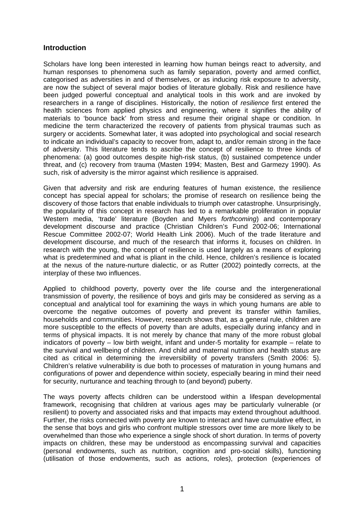#### **Introduction**

Scholars have long been interested in learning how human beings react to adversity, and human responses to phenomena such as family separation, poverty and armed conflict, categorised as adversities in and of themselves, or as inducing risk exposure to adversity, are now the subject of several major bodies of literature globally. Risk and resilience have been judged powerful conceptual and analytical tools in this work and are invoked by researchers in a range of disciplines. Historically, the notion of resilience first entered the health sciences from applied physics and engineering, where it signifies the ability of materials to 'bounce back' from stress and resume their original shape or condition. In medicine the term characterized the recovery of patients from physical traumas such as surgery or accidents. Somewhat later, it was adopted into psychological and social research to indicate an individual's capacity to recover from, adapt to, and/or remain strong in the face of adversity. This literature tends to ascribe the concept of resilience to three kinds of phenomena: (a) good outcomes despite high-risk status, (b) sustained competence under threat, and (c) recovery from trauma (Masten 1994; Masten, Best and Garmezy 1990). As such, risk of adversity is the mirror against which resilience is appraised.

Given that adversity and risk are enduring features of human existence, the resilience concept has special appeal for scholars; the promise of research on resilience being the discovery of those factors that enable individuals to triumph over catastrophe. Unsurprisingly, the popularity of this concept in research has led to a remarkable proliferation in popular Western media, 'trade' literature (Boyden and Myers forthcoming) and contemporary development discourse and practice (Christian Children's Fund 2002-06; International Rescue Committee 2002-07; World Health Link 2006). Much of the trade literature and development discourse, and much of the research that informs it, focuses on children. In research with the young, the concept of resilience is used largely as a means of exploring what is predetermined and what is pliant in the child. Hence, children's resilience is located at the nexus of the nature-nurture dialectic, or as Rutter (2002) pointedly corrects, at the interplay of these two influences.

Applied to childhood poverty, poverty over the life course and the intergenerational transmission of poverty, the resilience of boys and girls may be considered as serving as a conceptual and analytical tool for examining the ways in which young humans are able to overcome the negative outcomes of poverty and prevent its transfer within families, households and communities. However, research shows that, as a general rule, children are more susceptible to the effects of poverty than are adults, especially during infancy and in terms of physical impacts. It is not merely by chance that many of the more robust global indicators of poverty – low birth weight, infant and under-5 mortality for example – relate to the survival and wellbeing of children. And child and maternal nutrition and health status are cited as critical in determining the irreversibility of poverty transfers (Smith 2006: 5). Children's relative vulnerability is due both to processes of maturation in young humans and configurations of power and dependence within society, especially bearing in mind their need for security, nurturance and teaching through to (and beyond) puberty.

The ways poverty affects children can be understood within a lifespan developmental framework, recognising that children at various ages may be particularly vulnerable (or resilient) to poverty and associated risks and that impacts may extend throughout adulthood. Further, the risks connected with poverty are known to interact and have cumulative effect, in the sense that boys and girls who confront multiple stressors over time are more likely to be overwhelmed than those who experience a single shock of short duration. In terms of poverty impacts on children, these may be understood as encompassing survival and capacities (personal endowments, such as nutrition, cognition and pro-social skills), functioning (utilisation of those endowments, such as actions, roles), protection (experiences of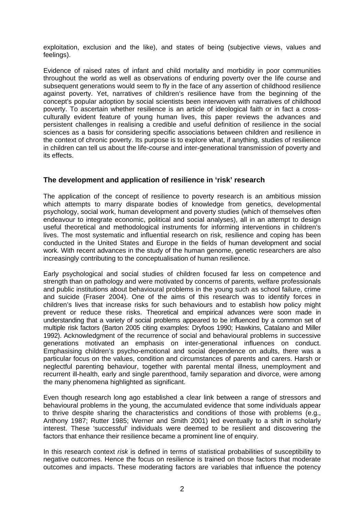exploitation, exclusion and the like), and states of being (subjective views, values and feelings).

Evidence of raised rates of infant and child mortality and morbidity in poor communities throughout the world as well as observations of enduring poverty over the life course and subsequent generations would seem to fly in the face of any assertion of childhood resilience against poverty. Yet, narratives of children's resilience have from the beginning of the concept's popular adoption by social scientists been interwoven with narratives of childhood poverty. To ascertain whether resilience is an article of ideological faith or in fact a crossculturally evident feature of young human lives, this paper reviews the advances and persistent challenges in realising a credible and useful definition of resilience in the social sciences as a basis for considering specific associations between children and resilience in the context of chronic poverty. Its purpose is to explore what, if anything, studies of resilience in children can tell us about the life-course and inter-generational transmission of poverty and its effects.

#### **The development and application of resilience in 'risk' research**

The application of the concept of resilience to poverty research is an ambitious mission which attempts to marry disparate bodies of knowledge from genetics, developmental psychology, social work, human development and poverty studies (which of themselves often endeavour to integrate economic, political and social analyses), all in an attempt to design useful theoretical and methodological instruments for informing interventions in children's lives. The most systematic and influential research on risk, resilience and coping has been conducted in the United States and Europe in the fields of human development and social work. With recent advances in the study of the human genome, genetic researchers are also increasingly contributing to the conceptualisation of human resilience.

Early psychological and social studies of children focused far less on competence and strength than on pathology and were motivated by concerns of parents, welfare professionals and public institutions about behavioural problems in the young such as school failure, crime and suicide (Fraser 2004). One of the aims of this research was to identify forces in children's lives that increase risks for such behaviours and to establish how policy might prevent or reduce these risks. Theoretical and empirical advances were soon made in understanding that a variety of social problems appeared to be influenced by a common set of multiple risk factors (Barton 2005 citing examples: Dryfoos 1990; Hawkins, Catalano and Miller 1992). Acknowledgment of the recurrence of social and behavioural problems in successive generations motivated an emphasis on inter-generational influences on conduct. Emphasising children's psycho-emotional and social dependence on adults, there was a particular focus on the values, condition and circumstances of parents and carers. Harsh or neglectful parenting behaviour, together with parental mental illness, unemployment and recurrent ill-health, early and single parenthood, family separation and divorce, were among the many phenomena highlighted as significant.

Even though research long ago established a clear link between a range of stressors and behavioural problems in the young, the accumulated evidence that some individuals appear to thrive despite sharing the characteristics and conditions of those with problems (e.g., Anthony 1987; Rutter 1985; Werner and Smith 2001) led eventually to a shift in scholarly interest. These 'successful' individuals were deemed to be resilient and discovering the factors that enhance their resilience became a prominent line of enquiry.

In this research context *risk* is defined in terms of statistical probabilities of susceptibility to negative outcomes. Hence the focus on resilience is trained on those factors that moderate outcomes and impacts. These moderating factors are variables that influence the potency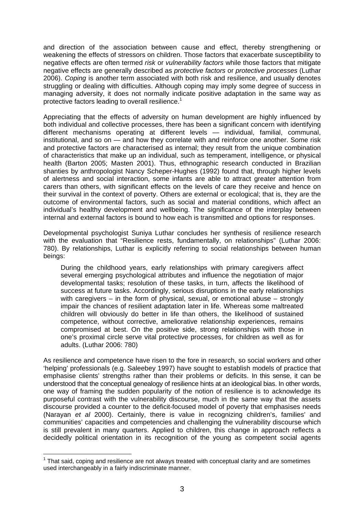and direction of the association between cause and effect, thereby strengthening or weakening the effects of stressors on children. Those factors that exacerbate susceptibility to negative effects are often termed risk or vulnerability factors while those factors that mitigate negative effects are generally described as *protective factors* or *protective processes* (Luthar 2006). Coping is another term associated with both risk and resilience, and usually denotes struggling or dealing with difficulties. Although coping may imply some degree of success in managing adversity, it does not normally indicate positive adaptation in the same way as protective factors leading to overall resilience.<sup>1</sup>

Appreciating that the effects of adversity on human development are highly influenced by both individual and collective processes, there has been a significant concern with identifying different mechanisms operating at different levels — individual, familial, communal, institutional, and so on — and how they correlate with and reinforce one another. Some risk and protective factors are characterised as internal; they result from the unique combination of characteristics that make up an individual, such as temperament, intelligence, or physical health (Barton 2005; Masten 2001). Thus, ethnographic research conducted in Brazilian shanties by anthropologist Nancy Scheper-Hughes (1992) found that, through higher levels of alertness and social interaction, some infants are able to attract greater attention from carers than others, with significant effects on the levels of care they receive and hence on their survival in the context of poverty. Others are external or ecological; that is, they are the outcome of environmental factors, such as social and material conditions, which affect an individual's healthy development and wellbeing. The significance of the interplay between internal and external factors is bound to how each is transmitted and options for responses.

Developmental psychologist Suniya Luthar concludes her synthesis of resilience research with the evaluation that "Resilience rests, fundamentally, on relationships" (Luthar 2006: 780). By relationships, Luthar is explicitly referring to social relationships between human beings:

During the childhood years, early relationships with primary caregivers affect several emerging psychological attributes and influence the negotiation of major developmental tasks; resolution of these tasks, in turn, affects the likelihood of success at future tasks. Accordingly, serious disruptions in the early relationships with caregivers – in the form of physical, sexual, or emotional abuse – strongly impair the chances of resilient adaptation later in life. Whereas some maltreated children will obviously do better in life than others, the likelihood of sustained competence, without corrective, ameliorative relationship experiences, remains compromised at best. On the positive side, strong relationships with those in one's proximal circle serve vital protective processes, for children as well as for adults. (Luthar 2006: 780)

As resilience and competence have risen to the fore in research, so social workers and other 'helping' professionals (e.g. Saleebey 1997) have sought to establish models of practice that emphasise clients' strengths rather than their problems or deficits. In this sense, it can be understood that the conceptual genealogy of resilience hints at an ideological bias. In other words, one way of framing the sudden popularity of the notion of resilience is to acknowledge its purposeful contrast with the vulnerability discourse, much in the same way that the assets discourse provided a counter to the deficit-focused model of poverty that emphasises needs (Narayan et al 2000). Certainly, there is value in recognizing children's, families' and communities' capacities and competencies and challenging the vulnerability discourse which is still prevalent in many quarters. Applied to children, this change in approach reflects a decidedly political orientation in its recognition of the young as competent social agents

 $\overline{\phantom{a}}$  $1$  That said, coping and resilience are not always treated with conceptual clarity and are sometimes used interchangeably in a fairly indiscriminate manner.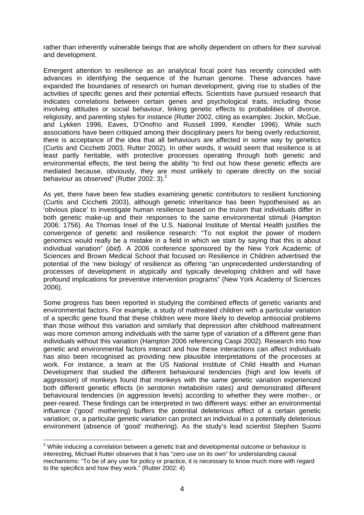rather than inherently vulnerable beings that are wholly dependent on others for their survival and development.

Emergent attention to resilience as an analytical focal point has recently coincided with advances in identifying the sequence of the human genome. These advances have expanded the boundaries of research on human development, giving rise to studies of the activities of specific genes and their potential effects. Scientists have pursued research that indicates correlations between certain genes and psychological traits, including those involving attitudes or social behaviour, linking genetic effects to probabilities of divorce, religiosity, and parenting styles for instance (Rutter 2002, citing as examples: Jockin, McGue, and Lykken 1996, Eaves, D'Onofrio and Russell 1999, Kendler 1996). While such associations have been critiqued among their disciplinary peers for being overly reductionist, there is acceptance of the idea that all behaviours are affected in some way by genetics (Curtis and Cicchetti 2003, Rutter 2002). In other words, it would seem that resilience is at least partly heritable, with protective processes operating through both genetic and environmental effects, the test being the ability "to find out how these genetic effects are mediated because, obviously, they are most unlikely to operate directly on the social behaviour as observed" (Rutter 2002: 3).<sup>2</sup>

As yet, there have been few studies examining genetic contributors to resilient functioning (Curtis and Cicchetti 2003), although genetic inheritance has been hypothesised as an 'obvious place' to investigate human resilience based on the truism that individuals differ in both genetic make-up and their responses to the same environmental stimuli (Hampton 2006: 1756). As Thomas Insel of the U.S. National Institute of Mental Health justifies the convergence of genetic and resilience research: "To not exploit the power of modern genomics would really be a mistake in a field in which we start by saying that this is about individual variation" (ibid). A 2006 conference sponsored by the New York Academic of Sciences and Brown Medical School that focused on Resilience in Children advertised the potential of the 'new biology' of resilience as offering "an unprecedented understanding of processes of development in atypically and typically developing children and will have profound implications for preventive intervention programs" (New York Academy of Sciences 2006).

Some progress has been reported in studying the combined effects of genetic variants and environmental factors. For example, a study of maltreated children with a particular variation of a specific gene found that these children were more likely to develop antisocial problems than those without this variation and similarly that depression after childhood maltreatment was more common among individuals with the same type of variation of a different gene than individuals without this variation (Hampton 2006 referencing Caspi 2002). Research into how genetic and environmental factors interact and how these interactions can affect individuals has also been recognised as providing new plausible interpretations of the processes at work. For instance, a team at the US National Institute of Child Health and Human Development that studied the different behavioural tendencies (high and low levels of aggression) of monkeys found that monkeys with the same genetic variation experienced both different genetic effects (in serotonin metabolism rates) and demonstrated different behavioural tendencies (in aggression levels) according to whether they were mother-, or peer-reared. These findings can be interpreted in two different ways: either an environmental influence ('good' mothering) buffers the potential deleterious effect of a certain genetic variation; or, a particular genetic variation can protect an individual in a potentially deleterious environment (absence of 'good' mothering). As the study's lead scientist Stephen Suomi

 2 While inducing a correlation between a genetic trait and developmental outcome or behaviour is interesting, Michael Rutter observes that it has "zero use on its own" for understanding causal mechanisms: "To be of any use for policy or practice, it is necessary to know much more with regard to the specifics and how they work." (Rutter 2002: 4)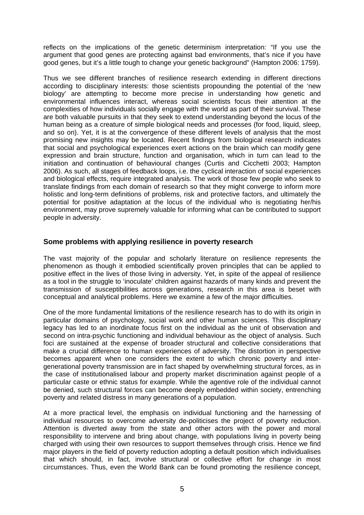reflects on the implications of the genetic determinism interpretation: "If you use the argument that good genes are protecting against bad environments, that's nice if you have good genes, but it's a little tough to change your genetic background" (Hampton 2006: 1759).

Thus we see different branches of resilience research extending in different directions according to disciplinary interests: those scientists propounding the potential of the 'new biology' are attempting to become more precise in understanding how genetic and environmental influences interact, whereas social scientists focus their attention at the complexities of how individuals socially engage with the world as part of their survival. These are both valuable pursuits in that they seek to extend understanding beyond the locus of the human being as a creature of simple biological needs and processes (for food, liquid, sleep, and so on). Yet, it is at the convergence of these different levels of analysis that the most promising new insights may be located. Recent findings from biological research indicates that social and psychological experiences exert actions on the brain which can modify gene expression and brain structure, function and organisation, which in turn can lead to the initiation and continuation of behavioural changes (Curtis and Cicchetti 2003; Hampton 2006). As such, all stages of feedback loops, i.e. the cyclical interaction of social experiences and biological effects, require integrated analysis. The work of those few people who seek to translate findings from each domain of research so that they might converge to inform more holistic and long-term definitions of problems, risk and protective factors, and ultimately the potential for positive adaptation at the locus of the individual who is negotiating her/his environment, may prove supremely valuable for informing what can be contributed to support people in adversity.

#### **Some problems with applying resilience in poverty research**

The vast majority of the popular and scholarly literature on resilience represents the phenomenon as though it embodied scientifically proven principles that can be applied to positive effect in the lives of those living in adversity. Yet, in spite of the appeal of resilience as a tool in the struggle to 'inoculate' children against hazards of many kinds and prevent the transmission of susceptibilities across generations, research in this area is beset with conceptual and analytical problems. Here we examine a few of the major difficulties.

One of the more fundamental limitations of the resilience research has to do with its origin in particular domains of psychology, social work and other human sciences. This disciplinary legacy has led to an inordinate focus first on the individual as the unit of observation and second on intra-psychic functioning and individual behaviour as the object of analysis. Such foci are sustained at the expense of broader structural and collective considerations that make a crucial difference to human experiences of adversity. The distortion in perspective becomes apparent when one considers the extent to which chronic poverty and intergenerational poverty transmission are in fact shaped by overwhelming structural forces, as in the case of institutionalised labour and property market discrimination against people of a particular caste or ethnic status for example. While the agentive role of the individual cannot be denied, such structural forces can become deeply embedded within society, entrenching poverty and related distress in many generations of a population.

At a more practical level, the emphasis on individual functioning and the harnessing of individual resources to overcome adversity de-politicises the project of poverty reduction. Attention is diverted away from the state and other actors with the power and moral responsibility to intervene and bring about change, with populations living in poverty being charged with using their own resources to support themselves through crisis. Hence we find major players in the field of poverty reduction adopting a default position which individualises that which should, in fact, involve structural or collective effort for change in most circumstances. Thus, even the World Bank can be found promoting the resilience concept,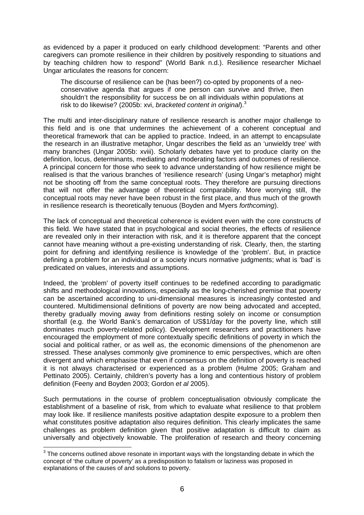as evidenced by a paper it produced on early childhood development: "Parents and other caregivers can promote resilience in their children by positively responding to situations and by teaching children how to respond" (World Bank n.d.). Resilience researcher Michael Ungar articulates the reasons for concern:

The discourse of resilience can be (has been?) co-opted by proponents of a neoconservative agenda that argues if one person can survive and thrive, then shouldn't the responsibility for success be on all individuals within populations at risk to do likewise? (2005b: xvi, bracketed content in original). $3$ 

The multi and inter-disciplinary nature of resilience research is another major challenge to this field and is one that undermines the achievement of a coherent conceptual and theoretical framework that can be applied to practice. Indeed, in an attempt to encapsulate the research in an illustrative metaphor, Ungar describes the field as an 'unwieldy tree' with many branches (Ungar 2005b: xviii). Scholarly debates have yet to produce clarity on the definition, locus, determinants, mediating and moderating factors and outcomes of resilience. A principal concern for those who seek to advance understanding of how resilience might be realised is that the various branches of 'resilience research' (using Ungar's metaphor) might not be shooting off from the same conceptual roots. They therefore are pursuing directions that will not offer the advantage of theoretical comparability. More worrying still, the conceptual roots may never have been robust in the first place, and thus much of the growth in resilience research is theoretically tenuous (Boyden and Myers forthcoming).

The lack of conceptual and theoretical coherence is evident even with the core constructs of this field. We have stated that in psychological and social theories, the effects of resilience are revealed only in their interaction with risk, and it is therefore apparent that the concept cannot have meaning without a pre-existing understanding of risk. Clearly, then, the starting point for defining and identifying resilience is knowledge of the 'problem'. But, in practice defining a problem for an individual or a society incurs normative judgments; what is 'bad' is predicated on values, interests and assumptions.

Indeed, the 'problem' of poverty itself continues to be redefined according to paradigmatic shifts and methodological innovations, especially as the long-cherished premise that poverty can be ascertained according to uni-dimensional measures is increasingly contested and countered. Multidimensional definitions of poverty are now being advocated and accepted, thereby gradually moving away from definitions resting solely on income or consumption shortfall (e.g. the World Bank's demarcation of US\$1/day for the poverty line, which still dominates much poverty-related policy). Development researchers and practitioners have encouraged the employment of more contextually specific definitions of poverty in which the social and political rather, or as well as, the economic dimensions of the phenomenon are stressed. These analyses commonly give prominence to emic perspectives, which are often divergent and which emphasise that even if consensus on the definition of poverty is reached it is not always characterised or experienced as a problem (Hulme 2005; Graham and Pettinato 2005). Certainly, children's poverty has a long and contentious history of problem definition (Feeny and Boyden 2003; Gordon et al 2005).

Such permutations in the course of problem conceptualisation obviously complicate the establishment of a baseline of risk, from which to evaluate what resilience to that problem may look like. If resilience manifests positive adaptation despite exposure to a problem then what constitutes positive adaptation also requires definition. This clearly implicates the same challenges as problem definition given that positive adaptation is difficult to claim as universally and objectively knowable. The proliferation of research and theory concerning

 $\overline{\phantom{a}}$  $3$  The concerns outlined above resonate in important ways with the longstanding debate in which the concept of 'the culture of poverty' as a predisposition to fatalism or laziness was proposed in explanations of the causes of and solutions to poverty.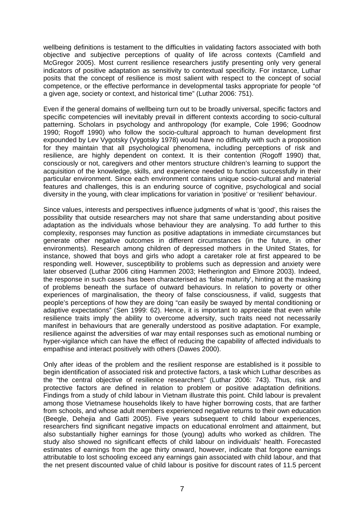wellbeing definitions is testament to the difficulties in validating factors associated with both objective and subjective perceptions of quality of life across contexts (Camfield and McGregor 2005). Most current resilience researchers justify presenting only very general indicators of positive adaptation as sensitivity to contextual specificity. For instance, Luthar posits that the concept of resilience is most salient with respect to the concept of social competence, or the effective performance in developmental tasks appropriate for people "of a given age, society or context, and historical time" (Luthar 2006: 751).

Even if the general domains of wellbeing turn out to be broadly universal, specific factors and specific competencies will inevitably prevail in different contexts according to socio-cultural patterning. Scholars in psychology and anthropology (for example, Cole 1996; Goodnow 1990; Rogoff 1990) who follow the socio-cultural approach to human development first expounded by Lev Vygotsky (Vygotsky 1978) would have no difficulty with such a proposition for they maintain that all psychological phenomena, including perceptions of risk and resilience, are highly dependent on context. It is their contention (Rogoff 1990) that, consciously or not, caregivers and other mentors structure children's learning to support the acquisition of the knowledge, skills, and experience needed to function successfully in their particular environment. Since each environment contains unique socio-cultural and material features and challenges, this is an enduring source of cognitive, psychological and social diversity in the young, with clear implications for variation in 'positive' or 'resilient' behaviour.

Since values, interests and perspectives influence judgments of what is 'good', this raises the possibility that outside researchers may not share that same understanding about positive adaptation as the individuals whose behaviour they are analysing. To add further to this complexity, responses may function as positive adaptations in immediate circumstances but generate other negative outcomes in different circumstances (in the future, in other environments). Research among children of depressed mothers in the United States, for instance, showed that boys and girls who adopt a caretaker role at first appeared to be responding well. However, susceptibility to problems such as depression and anxiety were later observed (Luthar 2006 citing Hammen 2003; Hetherington and Elmore 2003). Indeed, the response in such cases has been characterised as 'false maturity', hinting at the masking of problems beneath the surface of outward behaviours. In relation to poverty or other experiences of marginalisation, the theory of false consciousness, if valid, suggests that people's perceptions of how they are doing "can easily be swayed by mental conditioning or adaptive expectations" (Sen 1999: 62). Hence, it is important to appreciate that even while resilience traits imply the ability to overcome adversity, such traits need not necessarily manifest in behaviours that are generally understood as positive adaptation. For example, resilience against the adversities of war may entail responses such as emotional numbing or hyper-vigilance which can have the effect of reducing the capability of affected individuals to empathise and interact positively with others (Dawes 2000).

Only after ideas of the problem and the resilient response are established is it possible to begin identification of associated risk and protective factors, a task which Luthar describes as the "the central objective of resilience researchers" (Luthar 2006: 743). Thus, risk and protective factors are defined in relation to problem or positive adaptation definitions. Findings from a study of child labour in Vietnam illustrate this point. Child labour is prevalent among those Vietnamese households likely to have higher borrowing costs, that are farther from schools, and whose adult members experienced negative returns to their own education (Beegle, Dehejia and Gatti 2005). Five years subsequent to child labour experiences, researchers find significant negative impacts on educational enrolment and attainment, but also substantially higher earnings for those (young) adults who worked as children. The study also showed no significant effects of child labour on individuals' health. Forecasted estimates of earnings from the age thirty onward, however, indicate that forgone earnings attributable to lost schooling exceed any earnings gain associated with child labour, and that the net present discounted value of child labour is positive for discount rates of 11.5 percent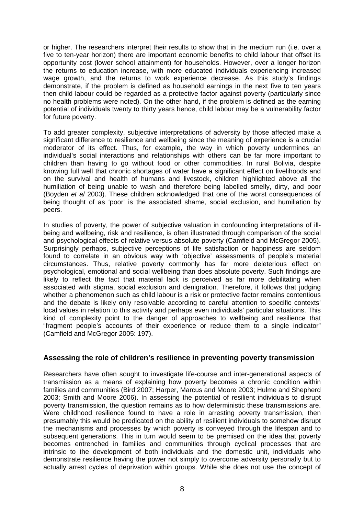or higher. The researchers interpret their results to show that in the medium run (i.e. over a five to ten-year horizon) there are important economic benefits to child labour that offset its opportunity cost (lower school attainment) for households. However, over a longer horizon the returns to education increase, with more educated individuals experiencing increased wage growth, and the returns to work experience decrease. As this study's findings demonstrate, if the problem is defined as household earnings in the next five to ten years then child labour could be regarded as a protective factor against poverty (particularly since no health problems were noted). On the other hand, if the problem is defined as the earning potential of individuals twenty to thirty years hence, child labour may be a vulnerability factor for future poverty.

To add greater complexity, subjective interpretations of adversity by those affected make a significant difference to resilience and wellbeing since the meaning of experience is a crucial moderator of its effect. Thus, for example, the way in which poverty undermines an individual's social interactions and relationships with others can be far more important to children than having to go without food or other commodities. In rural Bolivia, despite knowing full well that chronic shortages of water have a significant effect on livelihoods and on the survival and health of humans and livestock, children highlighted above all the humiliation of being unable to wash and therefore being labelled smelly, dirty, and poor (Boyden et al 2003). These children acknowledged that one of the worst consequences of being thought of as 'poor' is the associated shame, social exclusion, and humiliation by peers.

In studies of poverty, the power of subjective valuation in confounding interpretations of illbeing and wellbeing, risk and resilience, is often illustrated through comparison of the social and psychological effects of relative versus absolute poverty (Camfield and McGregor 2005). Surprisingly perhaps, subjective perceptions of life satisfaction or happiness are seldom found to correlate in an obvious way with 'objective' assessments of people's material circumstances. Thus, relative poverty commonly has far more deleterious effect on psychological, emotional and social wellbeing than does absolute poverty. Such findings are likely to reflect the fact that material lack is perceived as far more debilitating when associated with stigma, social exclusion and denigration. Therefore, it follows that judging whether a phenomenon such as child labour is a risk or protective factor remains contentious and the debate is likely only resolvable according to careful attention to specific contexts' local values in relation to this activity and perhaps even individuals' particular situations. This kind of complexity point to the danger of approaches to wellbeing and resilience that "fragment people's accounts of their experience or reduce them to a single indicator" (Camfield and McGregor 2005: 197).

### **Assessing the role of children's resilience in preventing poverty transmission**

Researchers have often sought to investigate life-course and inter-generational aspects of transmission as a means of explaining how poverty becomes a chronic condition within families and communities (Bird 2007; Harper, Marcus and Moore 2003; Hulme and Shepherd 2003; Smith and Moore 2006). In assessing the potential of resilient individuals to disrupt poverty transmission, the question remains as to how deterministic these transmissions are. Were childhood resilience found to have a role in arresting poverty transmission, then presumably this would be predicated on the ability of resilient individuals to somehow disrupt the mechanisms and processes by which poverty is conveyed through the lifespan and to subsequent generations. This in turn would seem to be premised on the idea that poverty becomes entrenched in families and communities through cyclical processes that are intrinsic to the development of both individuals and the domestic unit, individuals who demonstrate resilience having the power not simply to overcome adversity personally but to actually arrest cycles of deprivation within groups. While she does not use the concept of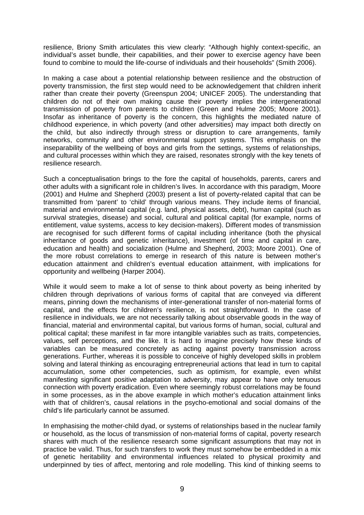resilience, Briony Smith articulates this view clearly: "Although highly context-specific, an individual's asset bundle, their capabilities, and their power to exercise agency have been found to combine to mould the life-course of individuals and their households" (Smith 2006).

In making a case about a potential relationship between resilience and the obstruction of poverty transmission, the first step would need to be acknowledgement that children inherit rather than create their poverty (Greenspun 2004; UNICEF 2005). The understanding that children do not of their own making cause their poverty implies the intergenerational transmission of poverty from parents to children (Green and Hulme 2005; Moore 2001). Insofar as inheritance of poverty is the concern, this highlights the mediated nature of childhood experience, in which poverty (and other adversities) may impact both directly on the child, but also indirectly through stress or disruption to care arrangements, family networks, community and other environmental support systems. This emphasis on the inseparability of the wellbeing of boys and girls from the settings, systems of relationships, and cultural processes within which they are raised, resonates strongly with the key tenets of resilience research.

Such a conceptualisation brings to the fore the capital of households, parents, carers and other adults with a significant role in children's lives. In accordance with this paradigm, Moore (2001) and Hulme and Shepherd (2003) present a list of poverty-related capital that can be transmitted from 'parent' to 'child' through various means. They include items of financial, material and environmental capital (e.g. land, physical assets, debt), human capital (such as survival strategies, disease) and social, cultural and political capital (for example, norms of entitlement, value systems, access to key decision-makers). Different modes of transmission are recognised for such different forms of capital including inheritance (both the physical inheritance of goods and genetic inheritance), investment (of time and capital in care, education and health) and socialization (Hulme and Shepherd, 2003; Moore 2001). One of the more robust correlations to emerge in research of this nature is between mother's education attainment and children's eventual education attainment, with implications for opportunity and wellbeing (Harper 2004).

While it would seem to make a lot of sense to think about poverty as being inherited by children through deprivations of various forms of capital that are conveyed via different means, pinning down the mechanisms of inter-generational transfer of non-material forms of capital, and the effects for children's resilience, is not straightforward. In the case of resilience in individuals, we are not necessarily talking about observable goods in the way of financial, material and environmental capital, but various forms of human, social, cultural and political capital; these manifest in far more intangible variables such as traits, competencies, values, self perceptions, and the like. It is hard to imagine precisely how these kinds of variables can be measured concretely as acting against poverty transmission across generations. Further, whereas it is possible to conceive of highly developed skills in problem solving and lateral thinking as encouraging entrepreneurial actions that lead in turn to capital accumulation, some other competencies, such as optimism, for example, even whilst manifesting significant positive adaptation to adversity, may appear to have only tenuous connection with poverty eradication. Even where seemingly robust correlations may be found in some processes, as in the above example in which mother's education attainment links with that of children's, causal relations in the psycho-emotional and social domains of the child's life particularly cannot be assumed.

In emphasising the mother-child dyad, or systems of relationships based in the nuclear family or household, as the locus of transmission of non-material forms of capital, poverty research shares with much of the resilience research some significant assumptions that may not in practice be valid. Thus, for such transfers to work they must somehow be embedded in a mix of genetic heritability and environmental influences related to physical proximity and underpinned by ties of affect, mentoring and role modelling. This kind of thinking seems to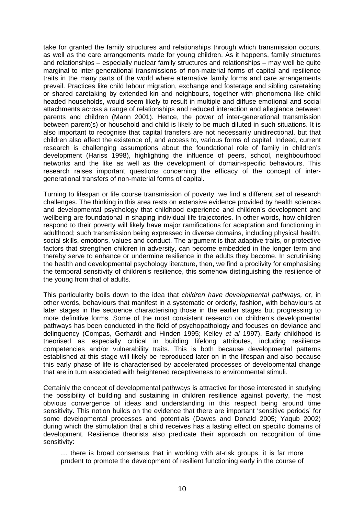take for granted the family structures and relationships through which transmission occurs, as well as the care arrangements made for young children. As it happens, family structures and relationships – especially nuclear family structures and relationships – may well be quite marginal to inter-generational transmissions of non-material forms of capital and resilience traits in the many parts of the world where alternative family forms and care arrangements prevail. Practices like child labour migration, exchange and fosterage and sibling caretaking or shared caretaking by extended kin and neighbours, together with phenomena like child headed households, would seem likely to result in multiple and diffuse emotional and social attachments across a range of relationships and reduced interaction and allegiance between parents and children (Mann 2001). Hence, the power of inter-generational transmission between parent(s) or household and child is likely to be much diluted in such situations. It is also important to recognise that capital transfers are not necessarily unidirectional, but that children also affect the existence of, and access to, various forms of capital. Indeed, current research is challenging assumptions about the foundational role of family in children's development (Hariss 1998), highlighting the influence of peers, school, neighbourhood networks and the like as well as the development of domain-specific behaviours. This research raises important questions concerning the efficacy of the concept of intergenerational transfers of non-material forms of capital.

Turning to lifespan or life course transmission of poverty, we find a different set of research challenges. The thinking in this area rests on extensive evidence provided by health sciences and developmental psychology that childhood experience and children's development and wellbeing are foundational in shaping individual life trajectories. In other words, how children respond to their poverty will likely have major ramifications for adaptation and functioning in adulthood; such transmission being expressed in diverse domains, including physical health, social skills, emotions, values and conduct. The argument is that adaptive traits, or protective factors that strengthen children in adversity, can become embedded in the longer term and thereby serve to enhance or undermine resilience in the adults they become. In scrutinising the health and developmental psychology literature, then, we find a proclivity for emphasising the temporal sensitivity of children's resilience, this somehow distinguishing the resilience of the young from that of adults.

This particularity boils down to the idea that children have developmental pathways, or, in other words, behaviours that manifest in a systematic or orderly, fashion, with behaviours at later stages in the sequence characterising those in the earlier stages but progressing to more definitive forms. Some of the most consistent research on children's developmental pathways has been conducted in the field of psychopathology and focuses on deviance and delinquency (Compas, Gerhardt and Hinden 1995; Kelley et al 1997). Early childhood is theorised as especially critical in building lifelong attributes, including resilience competencies and/or vulnerability traits. This is both because developmental patterns established at this stage will likely be reproduced later on in the lifespan and also because this early phase of life is characterised by accelerated processes of developmental change that are in turn associated with heightened receptiveness to environmental stimuli.

Certainly the concept of developmental pathways is attractive for those interested in studying the possibility of building and sustaining in children resilience against poverty, the most obvious convergence of ideas and understanding in this respect being around time sensitivity. This notion builds on the evidence that there are important 'sensitive periods' for some developmental processes and potentials (Dawes and Donald 2005; Yaqub 2002) during which the stimulation that a child receives has a lasting effect on specific domains of development. Resilience theorists also predicate their approach on recognition of time sensitivity:

… there is broad consensus that in working with at-risk groups, it is far more prudent to promote the development of resilient functioning early in the course of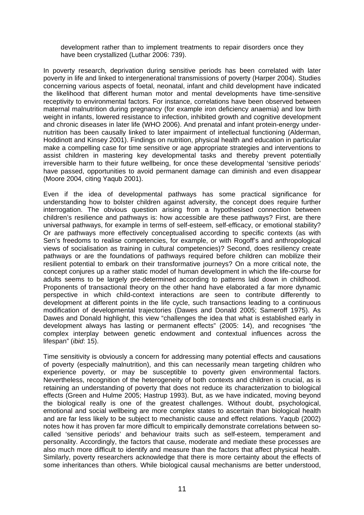development rather than to implement treatments to repair disorders once they have been crystallized (Luthar 2006: 739).

In poverty research, deprivation during sensitive periods has been correlated with later poverty in life and linked to intergenerational transmissions of poverty (Harper 2004). Studies concerning various aspects of foetal, neonatal, infant and child development have indicated the likelihood that different human motor and mental developments have time-sensitive receptivity to environmental factors. For instance, correlations have been observed between maternal malnutrition during pregnancy (for example iron deficiency anaemia) and low birth weight in infants, lowered resistance to infection, inhibited growth and cognitive development and chronic diseases in later life (WHO 2006). And prenatal and infant protein-energy undernutrition has been causally linked to later impairment of intellectual functioning (Alderman, Hoddinott and Kinsey 2001). Findings on nutrition, physical health and education in particular make a compelling case for time sensitive or age appropriate strategies and interventions to assist children in mastering key developmental tasks and thereby prevent potentially irreversible harm to their future wellbeing, for once these developmental 'sensitive periods' have passed, opportunities to avoid permanent damage can diminish and even disappear (Moore 2004, citing Yaqub 2001).

Even if the idea of developmental pathways has some practical significance for understanding how to bolster children against adversity, the concept does require further interrogation. The obvious question arising from a hypothesised connection between children's resilience and pathways is: how accessible are these pathways? First, are there universal pathways, for example in terms of self-esteem, self-efficacy, or emotional stability? Or are pathways more effectively conceptualised according to specific contexts (as with Sen's freedoms to realise competencies, for example, or with Rogoff's and anthropological views of socialisation as training in cultural competencies)? Second, does resiliency create pathways or are the foundations of pathways required before children can mobilize their resilient potential to embark on their transformative journeys? On a more critical note, the concept conjures up a rather static model of human development in which the life-course for adults seems to be largely pre-determined according to patterns laid down in childhood. Proponents of transactional theory on the other hand have elaborated a far more dynamic perspective in which child-context interactions are seen to contribute differently to development at different points in the life cycle, such transactions leading to a continuous modification of developmental trajectories (Dawes and Donald 2005; Sameroff 1975). As Dawes and Donald highlight, this view "challenges the idea that what is established early in development always has lasting or permanent effects" (2005: 14), and recognises "the complex interplay between genetic endowment and contextual influences across the lifespan" (ibid: 15).

Time sensitivity is obviously a concern for addressing many potential effects and causations of poverty (especially malnutrition), and this can necessarily mean targeting children who experience poverty, or may be susceptible to poverty given environmental factors. Nevertheless, recognition of the heterogeneity of both contexts and children is crucial, as is retaining an understanding of poverty that does not reduce its characterization to biological effects (Green and Hulme 2005; Hastrup 1993). But, as we have indicated, moving beyond the biological really is one of the greatest challenges. Without doubt, psychological, emotional and social wellbeing are more complex states to ascertain than biological health and are far less likely to be subject to mechanistic cause and effect relations. Yaqub (2002) notes how it has proven far more difficult to empirically demonstrate correlations between socalled 'sensitive periods' and behaviour traits such as self-esteem, temperament and personality. Accordingly, the factors that cause, moderate and mediate these processes are also much more difficult to identify and measure than the factors that affect physical health. Similarly, poverty researchers acknowledge that there is more certainty about the effects of some inheritances than others. While biological causal mechanisms are better understood,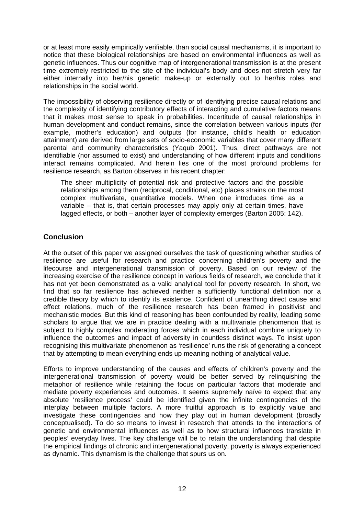or at least more easily empirically verifiable, than social causal mechanisms, it is important to notice that these biological relationships are based on environmental influences as well as genetic influences. Thus our cognitive map of intergenerational transmission is at the present time extremely restricted to the site of the individual's body and does not stretch very far either internally into her/his genetic make-up or externally out to her/his roles and relationships in the social world.

The impossibility of observing resilience directly or of identifying precise causal relations and the complexity of identifying contributory effects of interacting and cumulative factors means that it makes most sense to speak in probabilities. Incertitude of causal relationships in human development and conduct remains, since the correlation between various inputs (for example, mother's education) and outputs (for instance, child's health or education attainment) are derived from large sets of socio-economic variables that cover many different parental and community characteristics (Yaqub 2001). Thus, direct pathways are not identifiable (nor assumed to exist) and understanding of how different inputs and conditions interact remains complicated. And herein lies one of the most profound problems for resilience research, as Barton observes in his recent chapter:

The sheer multiplicity of potential risk and protective factors and the possible relationships among them (reciprocal, conditional, etc) places strains on the most complex multivariate, quantitative models. When one introduces time as a variable – that is, that certain processes may apply only at certain times, have lagged effects, or both – another layer of complexity emerges (Barton 2005: 142).

# **Conclusion**

At the outset of this paper we assigned ourselves the task of questioning whether studies of resilience are useful for research and practice concerning children's poverty and the lifecourse and intergenerational transmission of poverty. Based on our review of the increasing exercise of the resilience concept in various fields of research, we conclude that it has not yet been demonstrated as a valid analytical tool for poverty research. In short, we find that so far resilience has achieved neither a sufficiently functional definition nor a credible theory by which to identify its existence. Confident of unearthing direct cause and effect relations, much of the resilience research has been framed in positivist and mechanistic modes. But this kind of reasoning has been confounded by reality, leading some scholars to argue that we are in practice dealing with a multivariate phenomenon that is subject to highly complex moderating forces which in each individual combine uniquely to influence the outcomes and impact of adversity in countless distinct ways. To insist upon recognising this multivariate phenomenon as 'resilience' runs the risk of generating a concept that by attempting to mean everything ends up meaning nothing of analytical value.

Efforts to improve understanding of the causes and effects of children's poverty and the intergenerational transmission of poverty would be better served by relinquishing the metaphor of resilience while retaining the focus on particular factors that moderate and mediate poverty experiences and outcomes. It seems supremely naïve to expect that any absolute 'resilience process' could be identified given the infinite contingencies of the interplay between multiple factors. A more fruitful approach is to explicitly value and investigate these contingencies and how they play out in human development (broadly conceptualised). To do so means to invest in research that attends to the interactions of genetic and environmental influences as well as to how structural influences translate in peoples' everyday lives. The key challenge will be to retain the understanding that despite the empirical findings of chronic and intergenerational poverty, poverty is always experienced as dynamic. This dynamism is the challenge that spurs us on.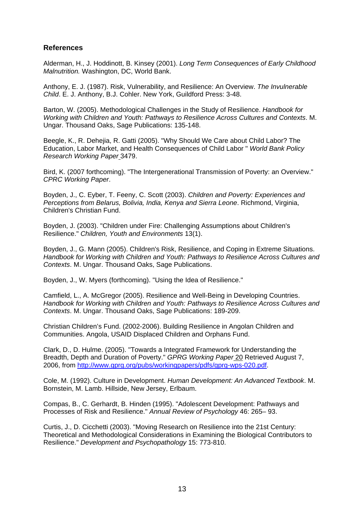## **References**

Alderman, H., J. Hoddinott, B. Kinsey (2001). Long Term Consequences of Early Childhood Malnutrition. Washington, DC, World Bank.

Anthony, E. J. (1987). Risk, Vulnerability, and Resilience: An Overview. The Invulnerable Child. E. J. Anthony, B.J. Cohler. New York, Guildford Press: 3-48.

Barton, W. (2005). Methodological Challenges in the Study of Resilience. Handbook for Working with Children and Youth: Pathways to Resilience Across Cultures and Contexts. M. Ungar. Thousand Oaks, Sage Publications: 135-148.

Beegle, K., R. Dehejia, R. Gatti (2005). "Why Should We Care about Child Labor? The Education, Labor Market, and Health Consequences of Child Labor " World Bank Policy Research Working Paper 3479.

Bird, K. (2007 forthcoming). "The Intergenerational Transmission of Poverty: an Overview." CPRC Working Paper.

Boyden, J., C. Eyber, T. Feeny, C. Scott (2003). Children and Poverty: Experiences and Perceptions from Belarus, Bolivia, India, Kenya and Sierra Leone. Richmond, Virginia, Children's Christian Fund.

Boyden, J. (2003). "Children under Fire: Challenging Assumptions about Children's Resilience." Children, Youth and Environments 13(1).

Boyden, J., G. Mann (2005). Children's Risk, Resilience, and Coping in Extreme Situations. Handbook for Working with Children and Youth: Pathways to Resilience Across Cultures and Contexts. M. Ungar. Thousand Oaks, Sage Publications.

Boyden, J., W. Myers (forthcoming). "Using the Idea of Resilience."

Camfield, L., A. McGregor (2005). Resilience and Well-Being in Developing Countries. Handbook for Working with Children and Youth: Pathways to Resilience Across Cultures and Contexts. M. Ungar. Thousand Oaks, Sage Publications: 189-209.

Christian Children's Fund. (2002-2006). Building Resilience in Angolan Children and Communities. Angola, USAID Displaced Children and Orphans Fund.

Clark, D., D. Hulme. (2005). "Towards a Integrated Framework for Understanding the Breadth, Depth and Duration of Poverty." GPRG Working Paper 20 Retrieved August 7, 2006, from http://www.gprg.org/pubs/workingpapers/pdfs/gprg-wps-020.pdf.

Cole, M. (1992). Culture in Development. Human Development: An Advanced Textbook. M. Bornstein, M. Lamb. Hillside, New Jersey, Erlbaum.

Compas, B., C. Gerhardt, B. Hinden (1995). "Adolescent Development: Pathways and Processes of Risk and Resilience." Annual Review of Psychology 46: 265– 93.

Curtis, J., D. Cicchetti (2003). "Moving Research on Resilience into the 21st Century: Theoretical and Methodological Considerations in Examining the Biological Contributors to Resilience." Development and Psychopathology 15: 773-810.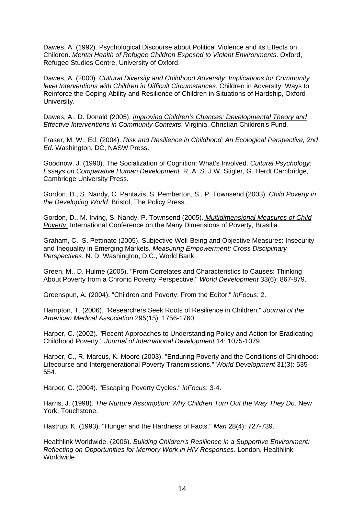Dawes, A. (1992). Psychological Discourse about Political Violence and its Effects on Children. Mental Health of Refugee Children Exposed to Violent Environments. Oxford, Refugee Studies Centre, University of Oxford.

Dawes, A. (2000). Cultural Diversity and Childhood Adversity: Implications for Community level Interventions with Children in Difficult Circumstances. Children in Adversity: Ways to Reinforce the Coping Ability and Resilience of Children in Situations of Hardship, Oxford University.

Dawes, A., D. Donald (2005). *Improving Children's Chances: Developmental Theory and* Effective Interventions in Community Contexts. Virginia, Christian Children's Fund.

Fraser, M. W., Ed. (2004). Risk and Resilience in Childhood: An Ecological Perspective, 2nd Ed. Washington, DC, NASW Press.

Goodnow, J. (1990). The Socialization of Cognition: What's Involved. Cultural Psychology: Essays on Comparative Human Development. R. A. S. J.W. Stigler, G. Herdt Cambridge, Cambridge University Press.

Gordon, D., S. Nandy, C. Pantazis, S. Pemberton, S., P. Townsend (2003). Child Poverty in the Developing World. Bristol, The Policy Press.

Gordon, D., M. Irving, S. Nandy. P. Townsend (2005). Multidimensional Measures of Child Poverty. International Conference on the Many Dimensions of Poverty, Brasilia.

Graham, C., S. Pettinato (2005). Subjective Well-Being and Objective Measures: Insecurity and Inequality in Emerging Markets. Measuring Empowerment: Cross Disciplinary Perspectives. N. D. Washington, D.C., World Bank.

Green, M., D. Hulme (2005). "From Correlates and Characteristics to Causes: Thinking About Poverty from a Chronic Poverty Perspective." World Development 33(6): 867-879.

Greenspun, A. (2004). "Children and Poverty: From the Editor." inFocus: 2.

Hampton, T. (2006). "Researchers Seek Roots of Resilience in Children." Journal of the American Medical Association 295(15): 1756-1760.

Harper, C. (2002). "Recent Approaches to Understanding Policy and Action for Eradicating Childhood Poverty." Journal of International Development 14: 1075-1079.

Harper, C., R. Marcus, K. Moore (2003). "Enduring Poverty and the Conditions of Childhood: Lifecourse and Intergenerational Poverty Transmissions." World Development 31(3): 535- 554.

Harper, C. (2004). "Escaping Poverty Cycles." inFocus: 3-4.

Harris, J. (1998). The Nurture Assumption: Why Children Turn Out the Way They Do. New York, Touchstone.

Hastrup, K. (1993). "Hunger and the Hardness of Facts." Man 28(4): 727-739.

Healthlink Worldwide. (2006). Building Children's Resilience in a Supportive Environment: Reflecting on Opportunities for Memory Work in HIV Responses. London, Healthlink Worldwide.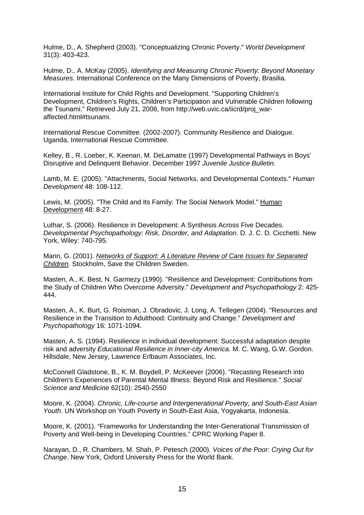Hulme, D., A. Shepherd (2003). "Conceptualizing Chronic Poverty." World Development 31(3): 403-423.

Hulme, D., A. McKay (2005). Identifying and Measuring Chronic Poverty: Beyond Monetary Measures. International Conference on the Many Dimensions of Poverty, Brasilia.

International Institute for Child Rights and Development. "Supporting Children's Development, Children's Rights, Children's Participation and Vulnerable Children following the Tsunami." Retrieved July 21, 2006, from http://web.uvic.ca/iicrd/proj\_waraffected.html#tsunami.

International Rescue Committee. (2002-2007). Community Resilience and Dialogue. Uganda, International Rescue Committee.

Kelley, B., R. Loeber, K. Keenan, M. DeLamatre (1997) Developmental Pathways in Boys' Disruptive and Delinquent Behavior. December 1997 Juvenile Justice Bulletin.

Lamb, M. E. (2005). "Attachments, Social Networks, and Developmental Contexts." Human Development 48: 108-112.

Lewis, M. (2005). "The Child and Its Family: The Social Network Model." Human Development 48: 8-27.

Luthar, S. (2006). Resilience in Development: A Synthesis Across Five Decades. Developmental Psychopathology: Risk, Disorder, and Adaptation. D. J. C. D. Cicchetti. New York, Wiley: 740-795.

Mann, G. (2001). Networks of Support: A Literature Review of Care Issues for Separated Children. Stockholm, Save the Children Sweden.

Masten, A., K. Best, N. Garmezy (1990). "Resilience and Development: Contributions from the Study of Children Who Overcome Adversity." Development and Psychopathology 2: 425- 444.

Masten, A., K. Burt, G. Roisman, J. Obradovic, J. Long, A. Tellegen (2004). "Resources and Resilience in the Transition to Adulthood: Continuity and Change." Development and Psychopathology 16: 1071-1094.

Masten, A. S. (1994). Resilience in individual development: Successful adaptation despite risk and adversity Educational Resilience in Inner-city America. M. C. Wang, G.W. Gordon. Hillsdale, New Jersey, Lawrence Erlbaum Associates, Inc.

McConnell Gladstone, B., K. M. Boydell, P. McKeever (2006). "Recasting Research into Children's Experiences of Parental Mental Illness: Beyond Risk and Resilience." Social Science and Medicine 62(10): 2540-2550

Moore, K. (2004). Chronic, Life-course and Intergenerational Poverty, and South-East Asian Youth. UN Workshop on Youth Poverty in South-East Asia, Yogyakarta, Indonesia.

Moore, K. (2001). "Frameworks for Understanding the Inter-Generational Transmission of Poverty and Well-being in Developing Countries." CPRC Working Paper 8.

Narayan, D., R. Chambers, M. Shah, P. Petesch (2000). Voices of the Poor: Crying Out for Change. New York, Oxford University Press for the World Bank.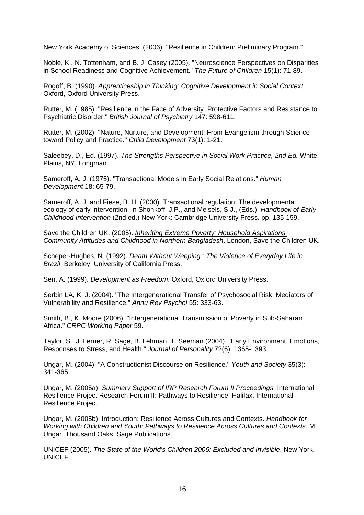New York Academy of Sciences. (2006). "Resilience in Children: Preliminary Program."

Noble, K., N. Tottenham, and B. J. Casey (2005). "Neuroscience Perspectives on Disparities in School Readiness and Cognitive Achievement." The Future of Children 15(1): 71-89.

Rogoff, B. (1990). Apprenticeship in Thinking: Cognitive Development in Social Context Oxford, Oxford University Press.

Rutter, M. (1985). "Resilience in the Face of Adversity. Protective Factors and Resistance to Psychiatric Disorder." British Journal of Psychiatry 147: 598-611.

Rutter, M. (2002). "Nature, Nurture, and Development: From Evangelism through Science toward Policy and Practice." Child Development 73(1): 1-21.

Saleebey, D., Ed. (1997). The Strengths Perspective in Social Work Practice, 2nd Ed. White Plains, NY, Longman.

Sameroff, A. J. (1975). "Transactional Models in Early Social Relations." Human Development 18: 65-79.

Sameroff, A. J. and Fiese, B. H. (2000). Transactional regulation: The developmental ecology of early intervention. In Shonkoff, J.P., and Meisels, S.J., (Eds.), Handbook of Early Childhood Intervention (2nd ed.) New York: Cambridge University Press. pp. 135-159.

Save the Children UK. (2005). Inheriting Extreme Poverty: Household Aspirations, Community Attitudes and Childhood in Northern Bangladesh. London, Save the Children UK.

Scheper-Hughes, N. (1992). Death Without Weeping : The Violence of Everyday Life in Brazil. Berkeley, University of California Press.

Sen, A. (1999). Development as Freedom. Oxford, Oxford University Press.

Serbin LA, K. J. (2004). "The Intergenerational Transfer of Psychosocial Risk: Mediators of Vulnerability and Resilience." Annu Rev Psychol 55: 333-63.

Smith, B., K. Moore (2006). "Intergenerational Transmission of Poverty in Sub-Saharan Africa." CRPC Working Paper 59.

Taylor, S., J. Lerner, R. Sage, B. Lehman, T. Seeman (2004). "Early Environment, Emotions, Responses to Stress, and Health." Journal of Personality 72(6): 1365-1393.

Ungar, M. (2004). "A Constructionist Discourse on Resilience." Youth and Society 35(3): 341-365.

Ungar, M. (2005a). Summary Support of IRP Research Forum II Proceedings. International Resilience Project Research Forum II: Pathways to Resilience, Halifax, International Resilience Project.

Ungar, M. (2005b). Introduction: Resilience Across Cultures and Contexts. Handbook for Working with Children and Youth: Pathways to Resilience Across Cultures and Contexts. M. Ungar. Thousand Oaks, Sage Publications.

UNICEF (2005). The State of the World's Children 2006: Excluded and Invisible. New York, UNICEF.